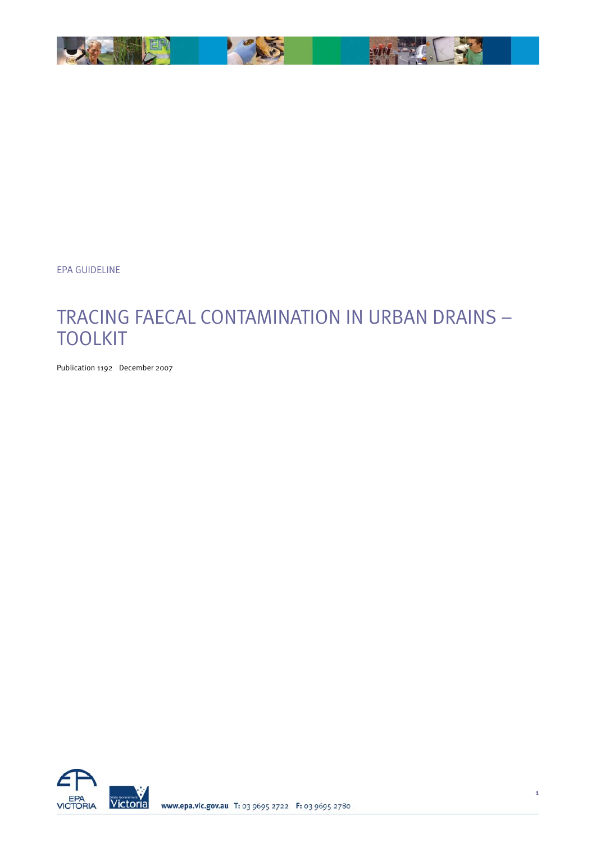

EPA GUIDELINE

# TRACING FAECAL CONTAMINATION IN URBAN DRAINS – TOOLKIT

Publication 1192 December 2007

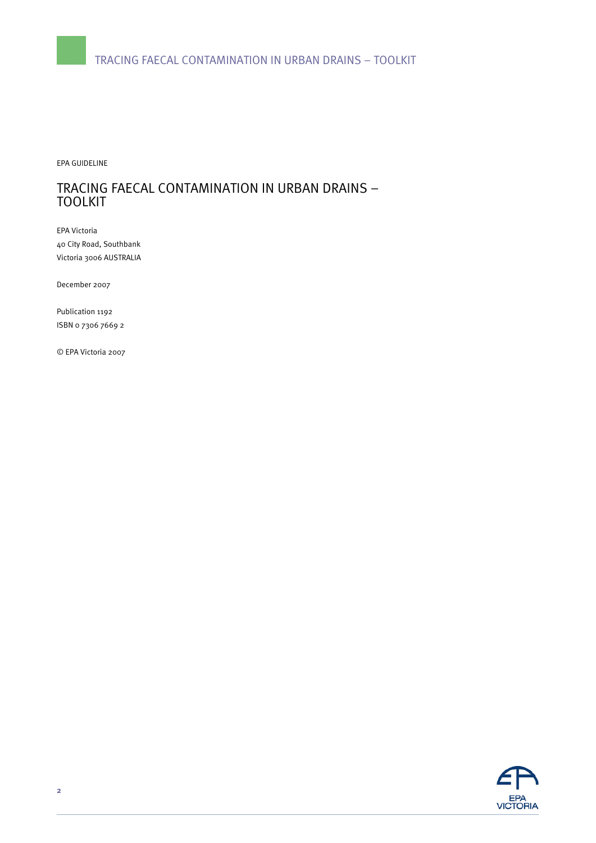EPA GUIDELINE

# TRACING FAECAL CONTAMINATION IN URBAN DRAINS – TOOLKIT

EPA Victoria 40 City Road, Southbank Victoria 3006 AUSTRALIA

December 2007

Publication 1192 ISBN 0 7306 7669 2

© EPA Victoria 2007

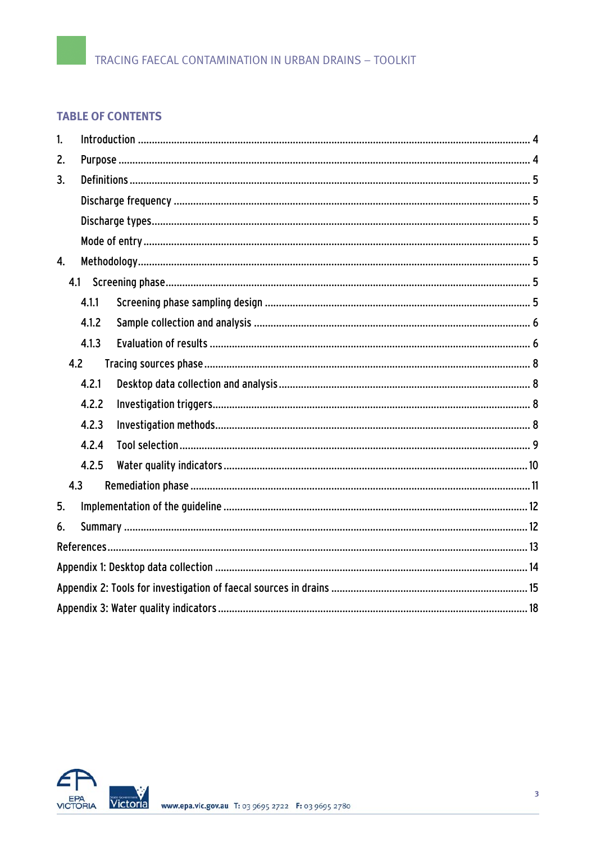# **TABLE OF CONTENTS**

| $\mathbf{1}$     |       |  |  |
|------------------|-------|--|--|
| 2.               |       |  |  |
| 3.               |       |  |  |
|                  |       |  |  |
|                  |       |  |  |
|                  |       |  |  |
| $\overline{4}$ . |       |  |  |
|                  |       |  |  |
|                  | 4.1.1 |  |  |
|                  | 4.1.2 |  |  |
|                  | 4.1.3 |  |  |
| 4.2              |       |  |  |
|                  | 4.2.1 |  |  |
|                  | 4.2.2 |  |  |
|                  | 4.2.3 |  |  |
|                  | 4.2.4 |  |  |
|                  | 4.2.5 |  |  |
| 4.3              |       |  |  |
| 5.               |       |  |  |
| 6.               |       |  |  |
|                  |       |  |  |
|                  |       |  |  |
|                  |       |  |  |
|                  |       |  |  |

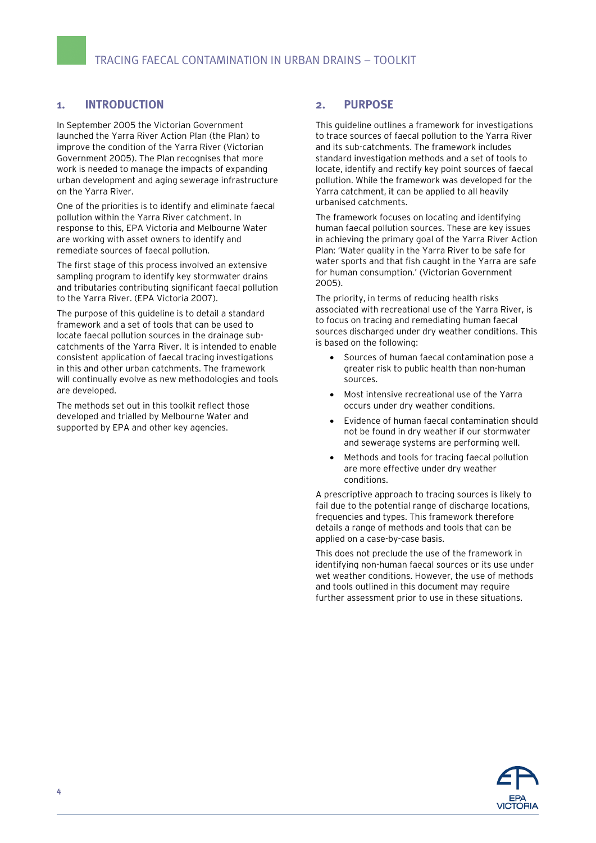## <span id="page-3-0"></span>**1. INTRODUCTION**

In September 2005 the Victorian Government launched the Yarra River Action Plan (the Plan) to improve the condition of the Yarra River (Victorian Government 2005). The Plan recognises that more work is needed to manage the impacts of expanding urban development and aging sewerage infrastructure on the Yarra River.

One of the priorities is to identify and eliminate faecal pollution within the Yarra River catchment. In response to this, EPA Victoria and Melbourne Water are working with asset owners to identify and remediate sources of faecal pollution.

The first stage of this process involved an extensive sampling program to identify key stormwater drains and tributaries contributing significant faecal pollution to the Yarra River. (EPA Victoria 2007).

The purpose of this guideline is to detail a standard framework and a set of tools that can be used to locate faecal pollution sources in the drainage subcatchments of the Yarra River. It is intended to enable consistent application of faecal tracing investigations in this and other urban catchments. The framework will continually evolve as new methodologies and tools are developed.

The methods set out in this toolkit reflect those developed and trialled by Melbourne Water and supported by EPA and other key agencies.

### **2. PURPOSE**

This guideline outlines a framework for investigations to trace sources of faecal pollution to the Yarra River and its sub-catchments. The framework includes standard investigation methods and a set of tools to locate, identify and rectify key point sources of faecal pollution. While the framework was developed for the Yarra catchment, it can be applied to all heavily urbanised catchments.

The framework focuses on locating and identifying human faecal pollution sources. These are key issues in achieving the primary goal of the Yarra River Action Plan: 'Water quality in the Yarra River to be safe for water sports and that fish caught in the Yarra are safe for human consumption.' (Victorian Government 2005).

The priority, in terms of reducing health risks associated with recreational use of the Yarra River, is to focus on tracing and remediating human faecal sources discharged under dry weather conditions. This is based on the following:

- Sources of human faecal contamination pose a greater risk to public health than non-human sources.
- Most intensive recreational use of the Yarra occurs under dry weather conditions.
- Evidence of human faecal contamination should not be found in dry weather if our stormwater and sewerage systems are performing well.
- Methods and tools for tracing faecal pollution are more effective under dry weather conditions.

A prescriptive approach to tracing sources is likely to fail due to the potential range of discharge locations, frequencies and types. This framework therefore details a range of methods and tools that can be applied on a case-by-case basis.

This does not preclude the use of the framework in identifying non-human faecal sources or its use under wet weather conditions. However, the use of methods and tools outlined in this document may require further assessment prior to use in these situations.

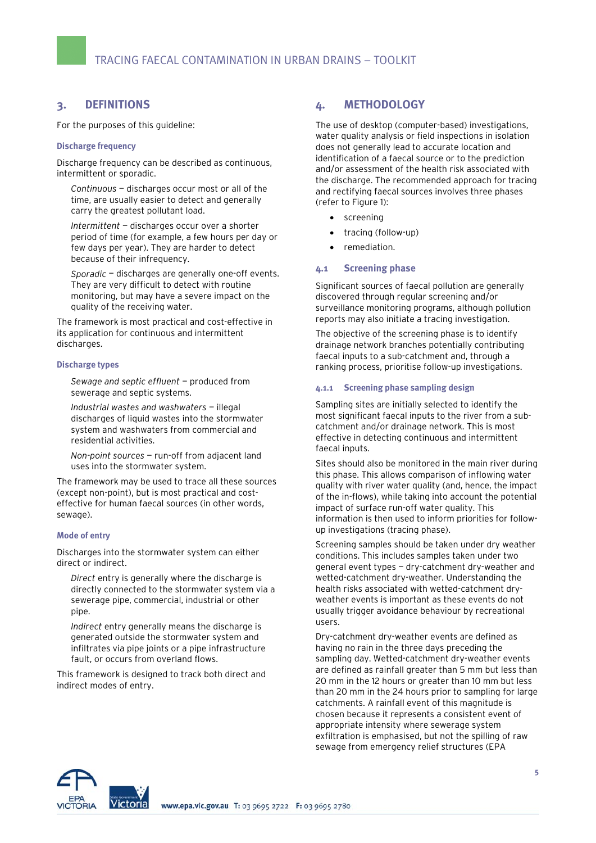## <span id="page-4-0"></span>**3. DEFINITIONS**

For the purposes of this guideline:

#### **Discharge frequency**

Discharge frequency can be described as continuous, intermittent or sporadic.

*Continuous* — discharges occur most or all of the time, are usually easier to detect and generally carry the greatest pollutant load.

*Intermittent* — discharges occur over a shorter period of time (for example, a few hours per day or few days per year). They are harder to detect because of their infrequency.

*Sporadic* — discharges are generally one-off events. They are very difficult to detect with routine monitoring, but may have a severe impact on the quality of the receiving water.

The framework is most practical and cost-effective in its application for continuous and intermittent discharges.

#### **Discharge types**

*Sewage and septic effluent* — produced from sewerage and septic systems.

*Industrial wastes and washwaters* — illegal discharges of liquid wastes into the stormwater system and washwaters from commercial and residential activities.

*Non-point sources* — run-off from adjacent land uses into the stormwater system.

The framework may be used to trace all these sources (except non-point), but is most practical and costeffective for human faecal sources (in other words, sewage).

#### **Mode of entry**

Discharges into the stormwater system can either direct or indirect.

*Direct* entry is generally where the discharge is directly connected to the stormwater system via a sewerage pipe, commercial, industrial or other pipe.

*Indirect* entry generally means the discharge is generated outside the stormwater system and infiltrates via pipe joints or a pipe infrastructure fault, or occurs from overland flows.

This framework is designed to track both direct and indirect modes of entry.

### **4. METHODOLOGY**

The use of desktop (computer-based) investigations, water quality analysis or field inspections in isolation does not generally lead to accurate location and identification of a faecal source or to the prediction and/or assessment of the health risk associated with the discharge. The recommended approach for tracing and rectifying faecal sources involves three phases (refer to Figure 1):

- screening
- tracing (follow-up)
- remediation.

#### **4.1 Screening phase**

Significant sources of faecal pollution are generally discovered through regular screening and/or surveillance monitoring programs, although pollution reports may also initiate a tracing investigation.

The objective of the screening phase is to identify drainage network branches potentially contributing faecal inputs to a sub-catchment and, through a ranking process, prioritise follow-up investigations.

#### **4.1.1 Screening phase sampling design**

Sampling sites are initially selected to identify the most significant faecal inputs to the river from a subcatchment and/or drainage network. This is most effective in detecting continuous and intermittent faecal inputs.

Sites should also be monitored in the main river during this phase. This allows comparison of inflowing water quality with river water quality (and, hence, the impact of the in-flows), while taking into account the potential impact of surface run-off water quality. This information is then used to inform priorities for followup investigations (tracing phase).

Screening samples should be taken under dry weather conditions. This includes samples taken under two general event types — dry-catchment dry-weather and wetted-catchment dry-weather. Understanding the health risks associated with wetted-catchment dryweather events is important as these events do not usually trigger avoidance behaviour by recreational users.

Dry-catchment dry-weather events are defined as having no rain in the three days preceding the sampling day. Wetted-catchment dry-weather events are defined as rainfall greater than 5 mm but less than 20 mm in the 12 hours or greater than 10 mm but less than 20 mm in the 24 hours prior to sampling for large catchments. A rainfall event of this magnitude is chosen because it represents a consistent event of appropriate intensity where sewerage system exfiltration is emphasised, but not the spilling of raw sewage from emergency relief structures (EPA

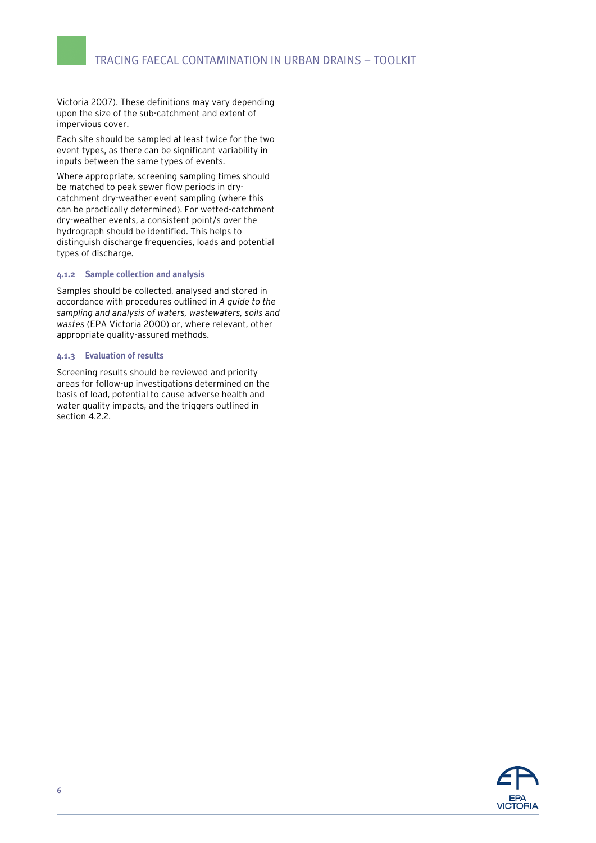<span id="page-5-0"></span>Victoria 2007). These definitions may vary depending upon the size of the sub-catchment and extent of impervious cover.

Each site should be sampled at least twice for the two event types, as there can be significant variability in inputs between the same types of events.

Where appropriate, screening sampling times should be matched to peak sewer flow periods in drycatchment dry-weather event sampling (where this can be practically determined). For wetted-catchment dry-weather events, a consistent point/s over the hydrograph should be identified. This helps to distinguish discharge frequencies, loads and potential types of discharge.

#### **4.1.2 Sample collection and analysis**

Samples should be collected, analysed and stored in accordance with procedures outlined in *A guide to the sampling and analysis of waters, wastewaters, soils and wastes* (EPA Victoria 2000) or, where relevant, other appropriate quality-assured methods.

#### **4.1.3 Evaluation of results**

Screening results should be reviewed and priority areas for follow-up investigations determined on the basis of load, potential to cause adverse health and water quality impacts, and the triggers outlined in section 4.2.2.

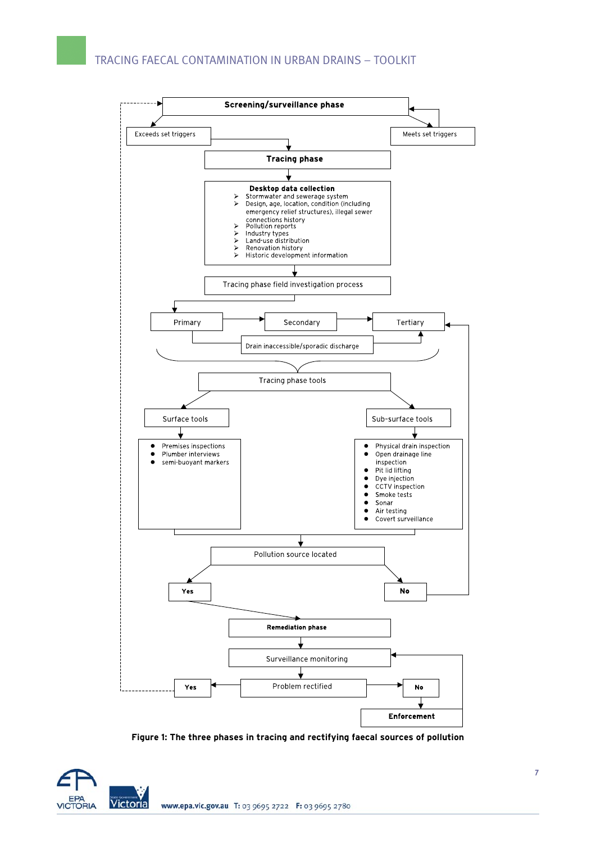

**Figure 1: The three phases in tracing and rectifying faecal sources of pollution** 

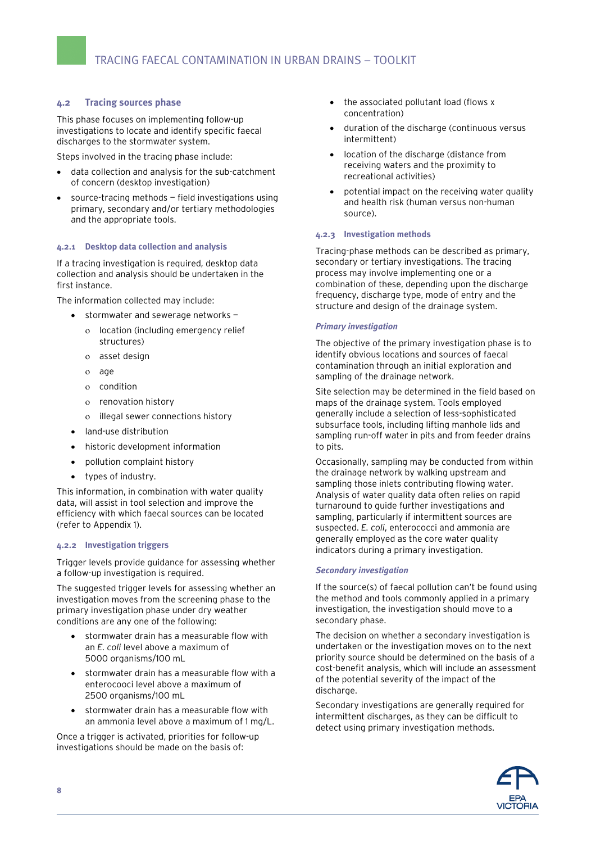#### <span id="page-7-0"></span>**4.2 Tracing sources phase**

This phase focuses on implementing follow-up investigations to locate and identify specific faecal discharges to the stormwater system.

Steps involved in the tracing phase include:

- data collection and analysis for the sub-catchment of concern (desktop investigation)
- source-tracing methods field investigations using primary, secondary and/or tertiary methodologies and the appropriate tools.

#### **4.2.1 Desktop data collection and analysis**

If a tracing investigation is required, desktop data collection and analysis should be undertaken in the first instance.

The information collected may include:

- stormwater and sewerage networks
	- ο location (including emergency relief structures)
	- ο asset design
	- ο age
	- ο condition
	- ο renovation history
	- ο illegal sewer connections history
- land-use distribution
- historic development information
- pollution complaint history
- types of industry.

This information, in combination with water quality data, will assist in tool selection and improve the efficiency with which faecal sources can be located (refer to Appendix 1).

#### **4.2.2 Investigation triggers**

Trigger levels provide guidance for assessing whether a follow-up investigation is required.

The suggested trigger levels for assessing whether an investigation moves from the screening phase to the primary investigation phase under dry weather conditions are any one of the following:

- stormwater drain has a measurable flow with an *E. coli* level above a maximum of 5000 organisms/100 mL
- stormwater drain has a measurable flow with a enterocooci level above a maximum of 2500 organisms/100 mL
- stormwater drain has a measurable flow with an ammonia level above a maximum of 1 mg/L.

Once a trigger is activated, priorities for follow-up investigations should be made on the basis of:

- the associated pollutant load (flows x concentration)
- duration of the discharge (continuous versus intermittent)
- location of the discharge (distance from receiving waters and the proximity to recreational activities)
- potential impact on the receiving water quality and health risk (human versus non-human source).

#### **4.2.3 Investigation methods**

Tracing-phase methods can be described as primary, secondary or tertiary investigations. The tracing process may involve implementing one or a combination of these, depending upon the discharge frequency, discharge type, mode of entry and the structure and design of the drainage system.

#### *Primary investigation*

The objective of the primary investigation phase is to identify obvious locations and sources of faecal contamination through an initial exploration and sampling of the drainage network.

Site selection may be determined in the field based on maps of the drainage system. Tools employed generally include a selection of less-sophisticated subsurface tools, including lifting manhole lids and sampling run-off water in pits and from feeder drains to pits.

Occasionally, sampling may be conducted from within the drainage network by walking upstream and sampling those inlets contributing flowing water. Analysis of water quality data often relies on rapid turnaround to guide further investigations and sampling, particularly if intermittent sources are suspected. *E. coli*, enterococci and ammonia are generally employed as the core water quality indicators during a primary investigation.

#### *Secondary investigation*

If the source(s) of faecal pollution can't be found using the method and tools commonly applied in a primary investigation, the investigation should move to a secondary phase.

The decision on whether a secondary investigation is undertaken or the investigation moves on to the next priority source should be determined on the basis of a cost-benefit analysis, which will include an assessment of the potential severity of the impact of the discharge.

Secondary investigations are generally required for intermittent discharges, as they can be difficult to detect using primary investigation methods.

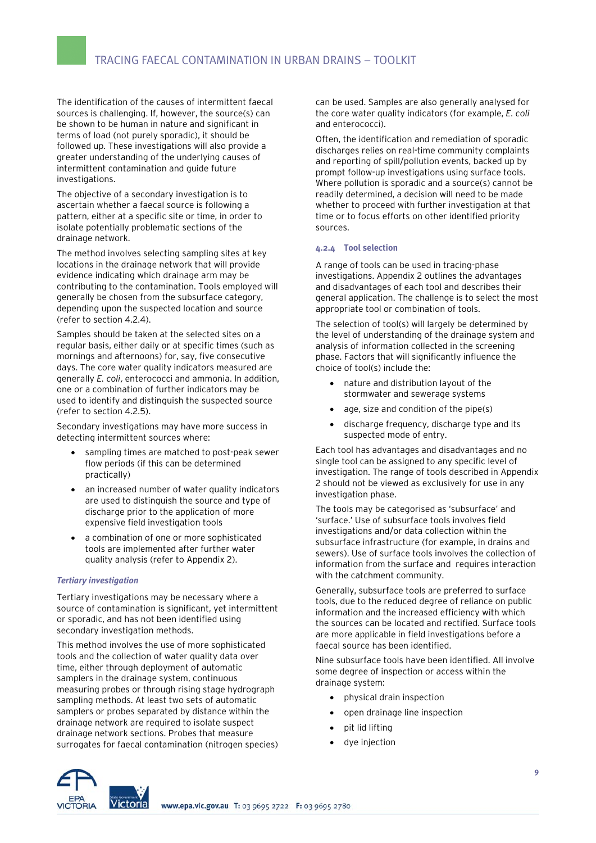<span id="page-8-0"></span>The identification of the causes of intermittent faecal sources is challenging. If, however, the source(s) can be shown to be human in nature and significant in terms of load (not purely sporadic), it should be followed up. These investigations will also provide a greater understanding of the underlying causes of intermittent contamination and guide future investigations.

The objective of a secondary investigation is to ascertain whether a faecal source is following a pattern, either at a specific site or time, in order to isolate potentially problematic sections of the drainage network.

The method involves selecting sampling sites at key locations in the drainage network that will provide evidence indicating which drainage arm may be contributing to the contamination. Tools employed will generally be chosen from the subsurface category, depending upon the suspected location and source (refer to section 4.2.4).

Samples should be taken at the selected sites on a regular basis, either daily or at specific times (such as mornings and afternoons) for, say, five consecutive days. The core water quality indicators measured are generally *E. coli*, enterococci and ammonia. In addition, one or a combination of further indicators may be used to identify and distinguish the suspected source (refer to section 4.2.5).

Secondary investigations may have more success in detecting intermittent sources where:

- sampling times are matched to post-peak sewer flow periods (if this can be determined practically)
- an increased number of water quality indicators are used to distinguish the source and type of discharge prior to the application of more expensive field investigation tools
- a combination of one or more sophisticated tools are implemented after further water quality analysis (refer to Appendix 2).

#### *Tertiary investigation*

Tertiary investigations may be necessary where a source of contamination is significant, yet intermittent or sporadic, and has not been identified using secondary investigation methods.

This method involves the use of more sophisticated tools and the collection of water quality data over time, either through deployment of automatic samplers in the drainage system, continuous measuring probes or through rising stage hydrograph sampling methods. At least two sets of automatic samplers or probes separated by distance within the drainage network are required to isolate suspect drainage network sections. Probes that measure surrogates for faecal contamination (nitrogen species) can be used. Samples are also generally analysed for the core water quality indicators (for example, *E. coli* and enterococci).

Often, the identification and remediation of sporadic discharges relies on real-time community complaints and reporting of spill/pollution events, backed up by prompt follow-up investigations using surface tools. Where pollution is sporadic and a source(s) cannot be readily determined, a decision will need to be made whether to proceed with further investigation at that time or to focus efforts on other identified priority sources.

#### **4.2.4 Tool selection**

A range of tools can be used in tracing-phase investigations. Appendix 2 outlines the advantages and disadvantages of each tool and describes their general application. The challenge is to select the most appropriate tool or combination of tools.

The selection of tool(s) will largely be determined by the level of understanding of the drainage system and analysis of information collected in the screening phase. Factors that will significantly influence the choice of tool(s) include the:

- nature and distribution layout of the stormwater and sewerage systems
- age, size and condition of the pipe(s)
- discharge frequency, discharge type and its suspected mode of entry.

Each tool has advantages and disadvantages and no single tool can be assigned to any specific level of investigation. The range of tools described in Appendix 2 should not be viewed as exclusively for use in any investigation phase.

The tools may be categorised as 'subsurface' and 'surface.' Use of subsurface tools involves field investigations and/or data collection within the subsurface infrastructure (for example, in drains and sewers). Use of surface tools involves the collection of information from the surface and requires interaction with the catchment community.

Generally, subsurface tools are preferred to surface tools, due to the reduced degree of reliance on public information and the increased efficiency with which the sources can be located and rectified. Surface tools are more applicable in field investigations before a faecal source has been identified.

Nine subsurface tools have been identified. All involve some degree of inspection or access within the drainage system:

- physical drain inspection
- open drainage line inspection
- pit lid lifting
- dve injection

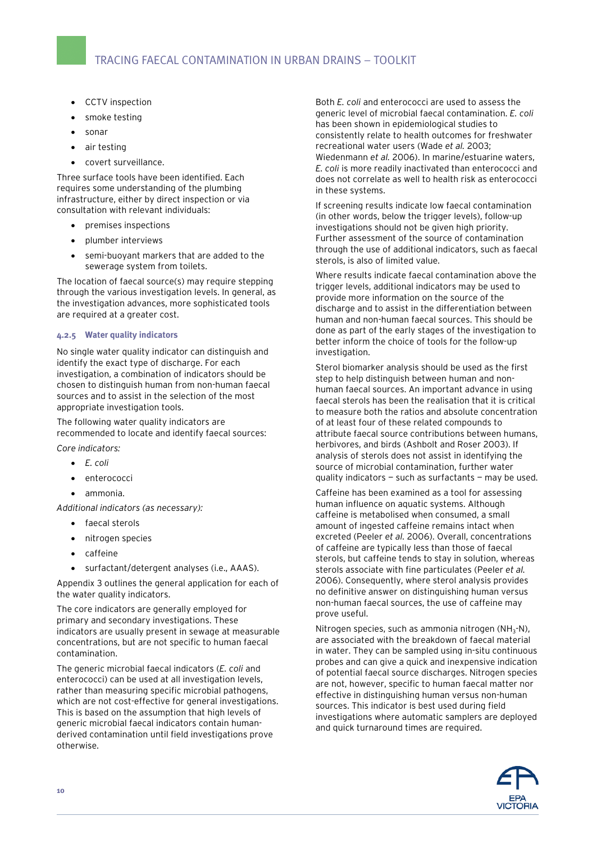- <span id="page-9-0"></span>• CCTV inspection
- smoke testing
- sonar
- air testing
- covert surveillance.

Three surface tools have been identified. Each requires some understanding of the plumbing infrastructure, either by direct inspection or via consultation with relevant individuals:

- premises inspections
- plumber interviews
- semi-buoyant markers that are added to the sewerage system from toilets.

The location of faecal source(s) may require stepping through the various investigation levels. In general, as the investigation advances, more sophisticated tools are required at a greater cost.

#### **4.2.5 Water quality indicators**

No single water quality indicator can distinguish and identify the exact type of discharge. For each investigation, a combination of indicators should be chosen to distinguish human from non-human faecal sources and to assist in the selection of the most appropriate investigation tools.

The following water quality indicators are recommended to locate and identify faecal sources:

*Core indicators:* 

- *E. coli*
- enterococci
- ammonia.

*Additional indicators (as necessary):* 

- faecal sterols
- nitrogen species
- caffeine
- surfactant/detergent analyses (i.e., AAAS).

Appendix 3 outlines the general application for each of the water quality indicators.

The core indicators are generally employed for primary and secondary investigations. These indicators are usually present in sewage at measurable concentrations, but are not specific to human faecal contamination.

The generic microbial faecal indicators (*E. coli* and enterococci) can be used at all investigation levels, rather than measuring specific microbial pathogens, which are not cost-effective for general investigations. This is based on the assumption that high levels of generic microbial faecal indicators contain humanderived contamination until field investigations prove otherwise.

Both *E. coli* and enterococci are used to assess the generic level of microbial faecal contamination. *E. coli* has been shown in epidemiological studies to consistently relate to health outcomes for freshwater recreational water users (Wade *et al.* 2003; Wiedenmann *et al.* 2006). In marine/estuarine waters, *E. coli* is more readily inactivated than enterococci and does not correlate as well to health risk as enterococci in these systems.

If screening results indicate low faecal contamination (in other words, below the trigger levels), follow-up investigations should not be given high priority. Further assessment of the source of contamination through the use of additional indicators, such as faecal sterols, is also of limited value.

Where results indicate faecal contamination above the trigger levels, additional indicators may be used to provide more information on the source of the discharge and to assist in the differentiation between human and non-human faecal sources. This should be done as part of the early stages of the investigation to better inform the choice of tools for the follow-up investigation.

Sterol biomarker analysis should be used as the first step to help distinguish between human and nonhuman faecal sources. An important advance in using faecal sterols has been the realisation that it is critical to measure both the ratios and absolute concentration of at least four of these related compounds to attribute faecal source contributions between humans, herbivores, and birds (Ashbolt and Roser 2003). If analysis of sterols does not assist in identifying the source of microbial contamination, further water quality indicators — such as surfactants — may be used.

Caffeine has been examined as a tool for assessing human influence on aquatic systems. Although caffeine is metabolised when consumed, a small amount of ingested caffeine remains intact when excreted (Peeler *et al.* 2006). Overall, concentrations of caffeine are typically less than those of faecal sterols, but caffeine tends to stay in solution, whereas sterols associate with fine particulates (Peeler *et al.* 2006). Consequently, where sterol analysis provides no definitive answer on distinguishing human versus non-human faecal sources, the use of caffeine may prove useful.

Nitrogen species, such as ammonia nitrogen (NH<sub>3</sub>-N), are associated with the breakdown of faecal material in water. They can be sampled using in-situ continuous probes and can give a quick and inexpensive indication of potential faecal source discharges. Nitrogen species are not, however, specific to human faecal matter nor effective in distinguishing human versus non-human sources. This indicator is best used during field investigations where automatic samplers are deployed and quick turnaround times are required.

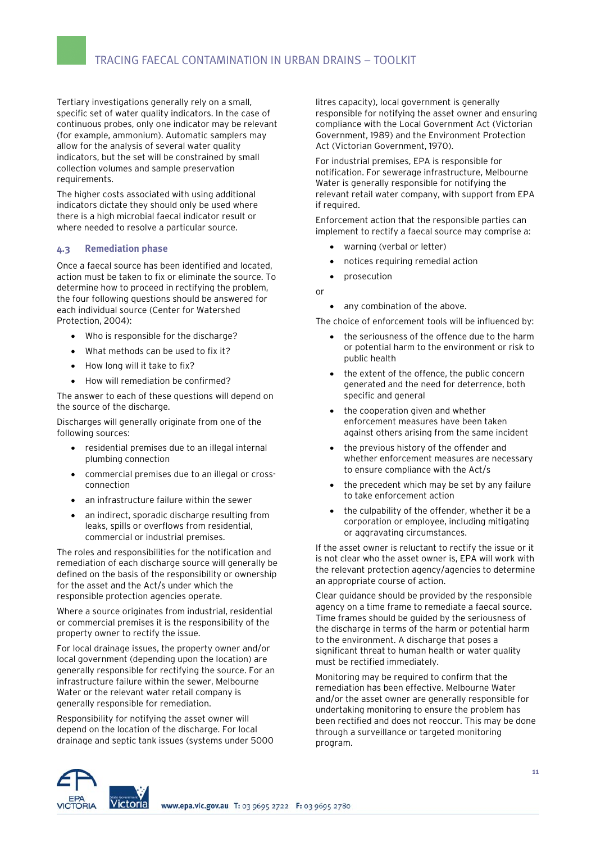<span id="page-10-0"></span>Tertiary investigations generally rely on a small, specific set of water quality indicators. In the case of continuous probes, only one indicator may be relevant (for example, ammonium). Automatic samplers may allow for the analysis of several water quality indicators, but the set will be constrained by small collection volumes and sample preservation requirements.

The higher costs associated with using additional indicators dictate they should only be used where there is a high microbial faecal indicator result or where needed to resolve a particular source.

#### **4.3 Remediation phase**

Once a faecal source has been identified and located, action must be taken to fix or eliminate the source. To determine how to proceed in rectifying the problem, the four following questions should be answered for each individual source (Center for Watershed Protection, 2004):

- Who is responsible for the discharge?
- What methods can be used to fix it?
- How long will it take to fix?
- How will remediation be confirmed?

The answer to each of these questions will depend on the source of the discharge.

Discharges will generally originate from one of the following sources:

- residential premises due to an illegal internal plumbing connection
- commercial premises due to an illegal or crossconnection
- an infrastructure failure within the sewer
- an indirect, sporadic discharge resulting from leaks, spills or overflows from residential, commercial or industrial premises.

The roles and responsibilities for the notification and remediation of each discharge source will generally be defined on the basis of the responsibility or ownership for the asset and the Act/s under which the responsible protection agencies operate.

Where a source originates from industrial, residential or commercial premises it is the responsibility of the property owner to rectify the issue.

For local drainage issues, the property owner and/or local government (depending upon the location) are generally responsible for rectifying the source. For an infrastructure failure within the sewer, Melbourne Water or the relevant water retail company is generally responsible for remediation.

Responsibility for notifying the asset owner will depend on the location of the discharge. For local drainage and septic tank issues (systems under 5000 litres capacity), local government is generally responsible for notifying the asset owner and ensuring compliance with the Local Government Act (Victorian Government, 1989) and the Environment Protection Act (Victorian Government, 1970).

For industrial premises, EPA is responsible for notification. For sewerage infrastructure, Melbourne Water is generally responsible for notifying the relevant retail water company, with support from EPA if required.

Enforcement action that the responsible parties can implement to rectify a faecal source may comprise a:

- warning (verbal or letter)
- notices requiring remedial action
- prosecution

or

• any combination of the above.

The choice of enforcement tools will be influenced by:

- the seriousness of the offence due to the harm or potential harm to the environment or risk to public health
- the extent of the offence, the public concern generated and the need for deterrence, both specific and general
- the cooperation given and whether enforcement measures have been taken against others arising from the same incident
- the previous history of the offender and whether enforcement measures are necessary to ensure compliance with the Act/s
- the precedent which may be set by any failure to take enforcement action
- the culpability of the offender, whether it be a corporation or employee, including mitigating or aggravating circumstances.

If the asset owner is reluctant to rectify the issue or it is not clear who the asset owner is, EPA will work with the relevant protection agency/agencies to determine an appropriate course of action.

Clear guidance should be provided by the responsible agency on a time frame to remediate a faecal source. Time frames should be guided by the seriousness of the discharge in terms of the harm or potential harm to the environment. A discharge that poses a significant threat to human health or water quality must be rectified immediately.

Monitoring may be required to confirm that the remediation has been effective. Melbourne Water and/or the asset owner are generally responsible for undertaking monitoring to ensure the problem has been rectified and does not reoccur. This may be done through a surveillance or targeted monitoring program.

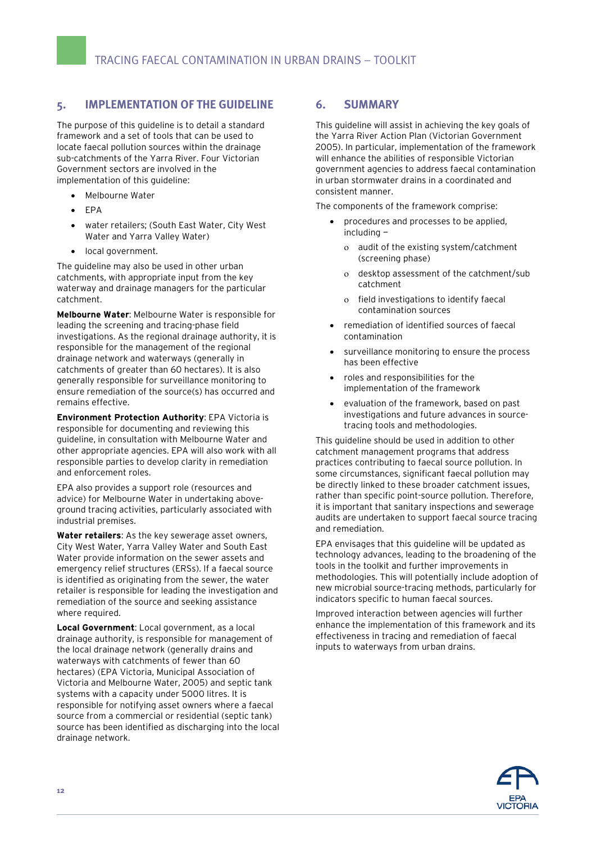# <span id="page-11-0"></span>**5. IMPLEMENTATION OF THE GUIDELINE**

The purpose of this guideline is to detail a standard framework and a set of tools that can be used to locate faecal pollution sources within the drainage sub-catchments of the Yarra River. Four Victorian Government sectors are involved in the implementation of this guideline:

- Melbourne Water
- EPA
- water retailers; (South East Water, City West Water and Yarra Valley Water)
- local government.

The guideline may also be used in other urban catchments, with appropriate input from the key waterway and drainage managers for the particular catchment.

**Melbourne Water**: Melbourne Water is responsible for leading the screening and tracing-phase field investigations. As the regional drainage authority, it is responsible for the management of the regional drainage network and waterways (generally in catchments of greater than 60 hectares). It is also generally responsible for surveillance monitoring to ensure remediation of the source(s) has occurred and remains effective.

**Environment Protection Authority**: EPA Victoria is responsible for documenting and reviewing this guideline, in consultation with Melbourne Water and other appropriate agencies. EPA will also work with all responsible parties to develop clarity in remediation and enforcement roles.

EPA also provides a support role (resources and advice) for Melbourne Water in undertaking aboveground tracing activities, particularly associated with industrial premises.

**Water retailers**: As the key sewerage asset owners, City West Water, Yarra Valley Water and South East Water provide information on the sewer assets and emergency relief structures (ERSs). If a faecal source is identified as originating from the sewer, the water retailer is responsible for leading the investigation and remediation of the source and seeking assistance where required.

**Local Government**: Local government, as a local drainage authority, is responsible for management of the local drainage network (generally drains and waterways with catchments of fewer than 60 hectares) (EPA Victoria, Municipal Association of Victoria and Melbourne Water, 2005) and septic tank systems with a capacity under 5000 litres. It is responsible for notifying asset owners where a faecal source from a commercial or residential (septic tank) source has been identified as discharging into the local drainage network.

### **6. SUMMARY**

This guideline will assist in achieving the key goals of the Yarra River Action Plan (Victorian Government 2005). In particular, implementation of the framework will enhance the abilities of responsible Victorian government agencies to address faecal contamination in urban stormwater drains in a coordinated and consistent manner.

The components of the framework comprise:

- procedures and processes to be applied, including
	- ο audit of the existing system/catchment (screening phase)
	- ο desktop assessment of the catchment/sub catchment
	- ο field investigations to identify faecal contamination sources
- remediation of identified sources of faecal contamination
- surveillance monitoring to ensure the process has been effective
- roles and responsibilities for the implementation of the framework
- evaluation of the framework, based on past investigations and future advances in sourcetracing tools and methodologies.

This guideline should be used in addition to other catchment management programs that address practices contributing to faecal source pollution. In some circumstances, significant faecal pollution may be directly linked to these broader catchment issues, rather than specific point-source pollution. Therefore, it is important that sanitary inspections and sewerage audits are undertaken to support faecal source tracing and remediation.

EPA envisages that this guideline will be updated as technology advances, leading to the broadening of the tools in the toolkit and further improvements in methodologies. This will potentially include adoption of new microbial source-tracing methods, particularly for indicators specific to human faecal sources.

Improved interaction between agencies will further enhance the implementation of this framework and its effectiveness in tracing and remediation of faecal inputs to waterways from urban drains.

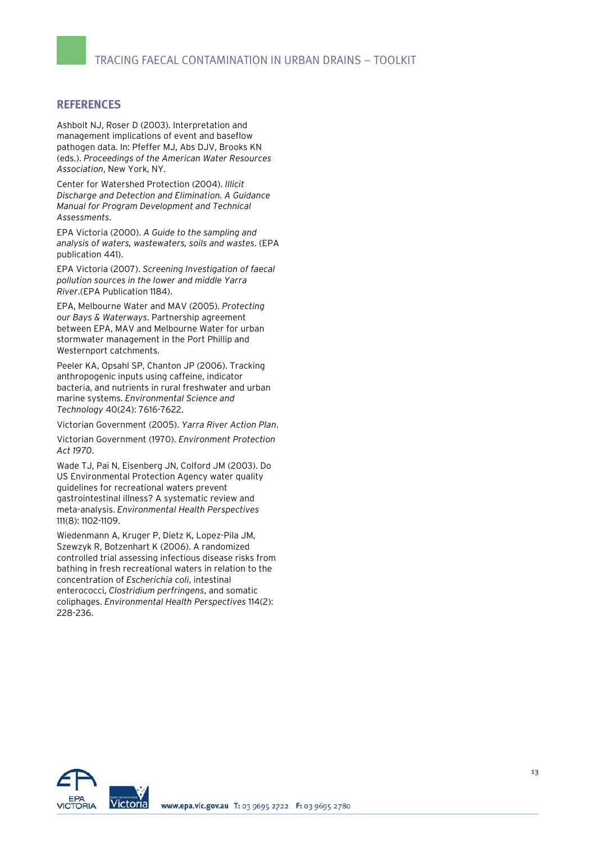### <span id="page-12-0"></span>**REFERENCES**

Ashbolt NJ, Roser D (2003). Interpretation and management implications of event and baseflow pathogen data. In: Pfeffer MJ, Abs DJV, Brooks KN (eds.). *Proceedings of the American Water Resources Association*, New York, NY.

Center for Watershed Protection (2004). *Illicit Discharge and Detection and Elimination. A Guidance Manual for Program Development and Technical Assessments*.

EPA Victoria (2000). *A Guide to the sampling and analysis of waters, wastewaters, soils and wastes*. (EPA publication 441).

EPA Victoria (2007). *Screening Investigation of faecal pollution sources in the lower and middle Yarra River*.(EPA Publication 1184).

EPA, Melbourne Water and MAV (2005). *Protecting our Bays & Waterways*. Partnership agreement between EPA, MAV and Melbourne Water for urban stormwater management in the Port Phillip and Westernport catchments.

Peeler KA, Opsahl SP, Chanton JP (2006). Tracking anthropogenic inputs using caffeine, indicator bacteria, and nutrients in rural freshwater and urban marine systems. *Environmental Science and Technology* 40(24): 7616-7622.

Victorian Government (2005). *Yarra River Action Plan*.

Victorian Government (1970). *Environment Protection Act 1970*.

Wade TJ, Pai N, Eisenberg JN, Colford JM (2003). Do US Environmental Protection Agency water quality guidelines for recreational waters prevent gastrointestinal illness? A systematic review and meta-analysis. *Environmental Health Perspectives* 111(8): 1102-1109.

Wiedenmann A, Kruger P, Dietz K, Lopez-Pila JM, Szewzyk R, Botzenhart K (2006). A randomized controlled trial assessing infectious disease risks from bathing in fresh recreational waters in relation to the concentration of *Escherichia coli*, intestinal enterococci, *Clostridium perfringens*, and somatic coliphages. *Environmental Health Perspectives* 114(2): 228-236.

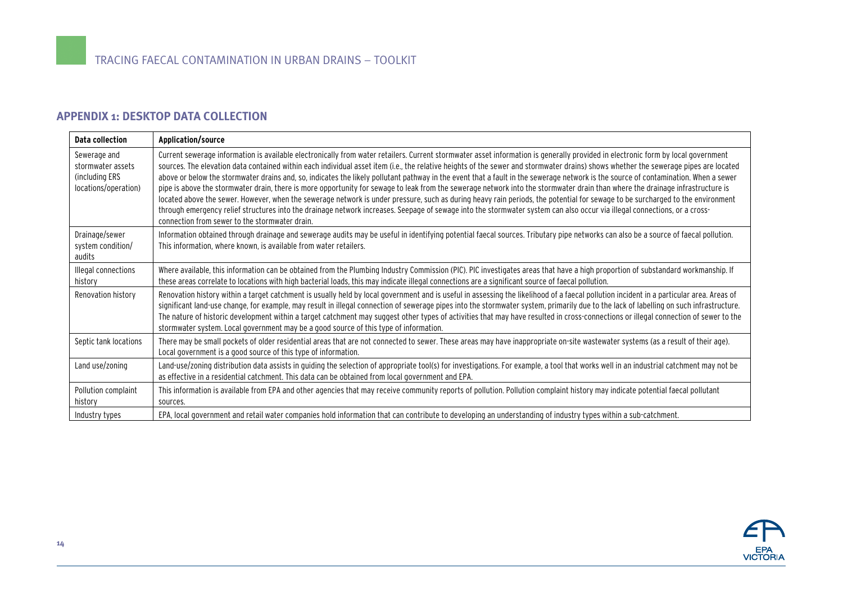# **APPENDIX 1: DESKTOP DATA COLLECTION**

<span id="page-13-0"></span>

| Data collection                                                             | Application/source                                                                                                                                                                                                                                                                                                                                                                                                                                                                                                                                                                                                                                                                                                                                                                                                                                                                                                                                                                                                                                                                                                                                                 |
|-----------------------------------------------------------------------------|--------------------------------------------------------------------------------------------------------------------------------------------------------------------------------------------------------------------------------------------------------------------------------------------------------------------------------------------------------------------------------------------------------------------------------------------------------------------------------------------------------------------------------------------------------------------------------------------------------------------------------------------------------------------------------------------------------------------------------------------------------------------------------------------------------------------------------------------------------------------------------------------------------------------------------------------------------------------------------------------------------------------------------------------------------------------------------------------------------------------------------------------------------------------|
| Sewerage and<br>stormwater assets<br>(including ERS<br>locations/operation) | Current sewerage information is available electronically from water retailers. Current stormwater asset information is generally provided in electronic form by local government<br>sources. The elevation data contained within each individual asset item (i.e., the relative heights of the sewer and stormwater drains) shows whether the sewerage pipes are located<br>above or below the stormwater drains and, so, indicates the likely pollutant pathway in the event that a fault in the sewerage network is the source of contamination. When a sewer<br>pipe is above the stormwater drain, there is more opportunity for sewage to leak from the sewerage network into the stormwater drain than where the drainage infrastructure is<br>located above the sewer. However, when the sewerage network is under pressure, such as during heavy rain periods, the potential for sewage to be surcharged to the environment<br>through emergency relief structures into the drainage network increases. Seepage of sewage into the stormwater system can also occur via illegal connections, or a cross-<br>connection from sewer to the stormwater drain. |
| Drainage/sewer<br>system condition/<br>audits                               | Information obtained through drainage and sewerage audits may be useful in identifying potential faecal sources. Tributary pipe networks can also be a source of faecal pollution.<br>This information, where known, is available from water retailers.                                                                                                                                                                                                                                                                                                                                                                                                                                                                                                                                                                                                                                                                                                                                                                                                                                                                                                            |
| Illegal connections<br>history                                              | Where available, this information can be obtained from the Plumbing Industry Commission (PIC). PIC investigates areas that have a high proportion of substandard workmanship. If<br>these areas correlate to locations with high bacterial loads, this may indicate illegal connections are a significant source of faecal pollution.                                                                                                                                                                                                                                                                                                                                                                                                                                                                                                                                                                                                                                                                                                                                                                                                                              |
| Renovation history                                                          | Renovation history within a target catchment is usually held by local government and is useful in assessing the likelihood of a faecal pollution incident in a particular area. Areas of<br>significant land-use change, for example, may result in illegal connection of sewerage pipes into the stormwater system, primarily due to the lack of labelling on such infrastructure.<br>The nature of historic development within a target catchment may suggest other types of activities that may have resulted in cross-connections or illegal connection of sewer to the<br>stormwater system. Local government may be a good source of this type of information.                                                                                                                                                                                                                                                                                                                                                                                                                                                                                               |
| Septic tank locations                                                       | There may be small pockets of older residential areas that are not connected to sewer. These areas may have inappropriate on-site wastewater systems (as a result of their age).<br>Local government is a good source of this type of information.                                                                                                                                                                                                                                                                                                                                                                                                                                                                                                                                                                                                                                                                                                                                                                                                                                                                                                                 |
| Land use/zoning                                                             | Land-use/zoning distribution data assists in quiding the selection of appropriate tool(s) for investigations. For example, a tool that works well in an industrial catchment may not be<br>as effective in a residential catchment. This data can be obtained from local government and EPA.                                                                                                                                                                                                                                                                                                                                                                                                                                                                                                                                                                                                                                                                                                                                                                                                                                                                       |
| Pollution complaint<br>history                                              | This information is available from EPA and other agencies that may receive community reports of pollution. Pollution complaint history may indicate potential faecal pollutant<br>sources.                                                                                                                                                                                                                                                                                                                                                                                                                                                                                                                                                                                                                                                                                                                                                                                                                                                                                                                                                                         |
| Industry types                                                              | EPA, local government and retail water companies hold information that can contribute to developing an understanding of industry types within a sub-catchment.                                                                                                                                                                                                                                                                                                                                                                                                                                                                                                                                                                                                                                                                                                                                                                                                                                                                                                                                                                                                     |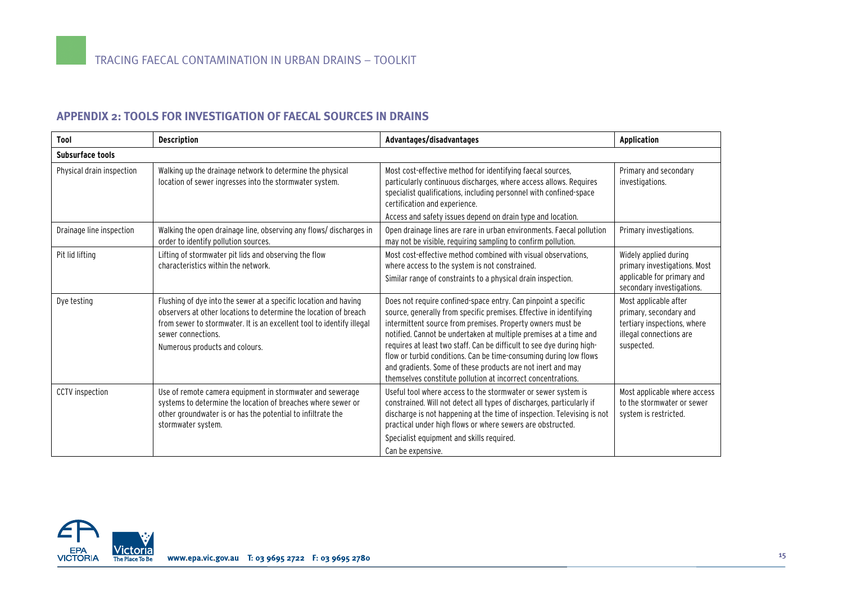# **APPENDIX 2: TOOLS FOR INVESTIGATION OF FAECAL SOURCES IN DRAINS**

| Tool                      | <b>Description</b>                                                                                                                                                                                                                                                    | Advantages/disadvantages                                                                                                                                                                                                                                                                                                                                                                                                                                                                                                                             | <b>Application</b>                                                                                                      |  |
|---------------------------|-----------------------------------------------------------------------------------------------------------------------------------------------------------------------------------------------------------------------------------------------------------------------|------------------------------------------------------------------------------------------------------------------------------------------------------------------------------------------------------------------------------------------------------------------------------------------------------------------------------------------------------------------------------------------------------------------------------------------------------------------------------------------------------------------------------------------------------|-------------------------------------------------------------------------------------------------------------------------|--|
| Subsurface tools          |                                                                                                                                                                                                                                                                       |                                                                                                                                                                                                                                                                                                                                                                                                                                                                                                                                                      |                                                                                                                         |  |
| Physical drain inspection | Walking up the drainage network to determine the physical<br>location of sewer ingresses into the stormwater system.                                                                                                                                                  | Most cost-effective method for identifying faecal sources,<br>particularly continuous discharges, where access allows. Requires<br>specialist qualifications, including personnel with confined-space<br>certification and experience.<br>Access and safety issues depend on drain type and location.                                                                                                                                                                                                                                                | Primary and secondary<br>investigations.                                                                                |  |
| Drainage line inspection  | Walking the open drainage line, observing any flows/discharges in<br>order to identify pollution sources.                                                                                                                                                             | Open drainage lines are rare in urban environments. Faecal pollution<br>may not be visible, requiring sampling to confirm pollution.                                                                                                                                                                                                                                                                                                                                                                                                                 | Primary investigations.                                                                                                 |  |
| Pit lid lifting           | Lifting of stormwater pit lids and observing the flow<br>characteristics within the network.                                                                                                                                                                          | Most cost-effective method combined with visual observations,<br>where access to the system is not constrained.<br>Similar range of constraints to a physical drain inspection.                                                                                                                                                                                                                                                                                                                                                                      | Widely applied during<br>primary investigations. Most<br>applicable for primary and<br>secondary investigations.        |  |
| Dye testing               | Flushing of dye into the sewer at a specific location and having<br>observers at other locations to determine the location of breach<br>from sewer to stormwater. It is an excellent tool to identify illegal<br>sewer connections.<br>Numerous products and colours. | Does not require confined-space entry. Can pinpoint a specific<br>source, generally from specific premises. Effective in identifying<br>intermittent source from premises. Property owners must be<br>notified. Cannot be undertaken at multiple premises at a time and<br>requires at least two staff. Can be difficult to see dye during high-<br>flow or turbid conditions. Can be time-consuming during low flows<br>and gradients. Some of these products are not inert and may<br>themselves constitute pollution at incorrect concentrations. | Most applicable after<br>primary, secondary and<br>tertiary inspections, where<br>illegal connections are<br>suspected. |  |
| CCTV inspection           | Use of remote camera equipment in stormwater and sewerage<br>systems to determine the location of breaches where sewer or<br>other groundwater is or has the potential to infiltrate the<br>stormwater system.                                                        | Useful tool where access to the stormwater or sewer system is<br>constrained. Will not detect all types of discharges, particularly if<br>discharge is not happening at the time of inspection. Televising is not<br>practical under high flows or where sewers are obstructed.<br>Specialist equipment and skills required.<br>Can be expensive.                                                                                                                                                                                                    | Most applicable where access<br>to the stormwater or sewer<br>system is restricted.                                     |  |

<span id="page-14-0"></span>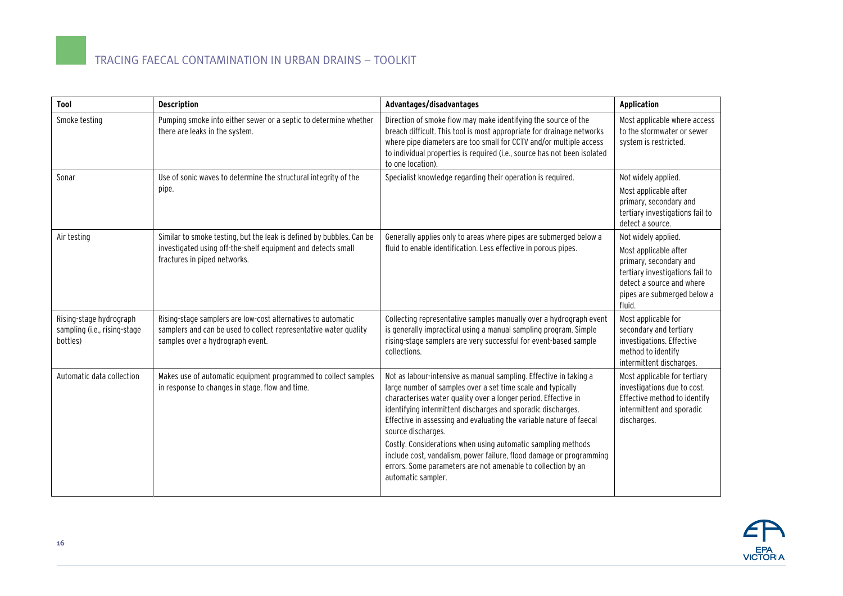# TRACING FAECAL CONTAMINATION IN URBAN DRAINS – TOOLKIT

| Tool                                                                | <b>Description</b>                                                                                                                                                   | Advantages/disadvantages                                                                                                                                                                                                                                                                                                                                                                                                                                                                                                                                                                     | <b>Application</b>                                                                                                                                                              |
|---------------------------------------------------------------------|----------------------------------------------------------------------------------------------------------------------------------------------------------------------|----------------------------------------------------------------------------------------------------------------------------------------------------------------------------------------------------------------------------------------------------------------------------------------------------------------------------------------------------------------------------------------------------------------------------------------------------------------------------------------------------------------------------------------------------------------------------------------------|---------------------------------------------------------------------------------------------------------------------------------------------------------------------------------|
| Smoke testing                                                       | Pumping smoke into either sewer or a septic to determine whether<br>there are leaks in the system.                                                                   | Direction of smoke flow may make identifying the source of the<br>breach difficult. This tool is most appropriate for drainage networks<br>where pipe diameters are too small for CCTV and/or multiple access<br>to individual properties is required (i.e., source has not been isolated<br>to one location).                                                                                                                                                                                                                                                                               | Most applicable where access<br>to the stormwater or sewer<br>system is restricted.                                                                                             |
| Sonar                                                               | Use of sonic waves to determine the structural integrity of the<br>pipe.                                                                                             | Specialist knowledge regarding their operation is required.                                                                                                                                                                                                                                                                                                                                                                                                                                                                                                                                  | Not widely applied.<br>Most applicable after<br>primary, secondary and<br>tertiary investigations fail to<br>detect a source.                                                   |
| Air testing                                                         | Similar to smoke testing, but the leak is defined by bubbles. Can be<br>investigated using off-the-shelf equipment and detects small<br>fractures in piped networks. | Generally applies only to areas where pipes are submerged below a<br>fluid to enable identification. Less effective in porous pipes.                                                                                                                                                                                                                                                                                                                                                                                                                                                         | Not widely applied.<br>Most applicable after<br>primary, secondary and<br>tertiary investigations fail to<br>detect a source and where<br>pipes are submerged below a<br>fluid. |
| Rising-stage hydrograph<br>sampling (i.e., rising-stage<br>bottles) | Rising-stage samplers are low-cost alternatives to automatic<br>samplers and can be used to collect representative water quality<br>samples over a hydrograph event. | Collecting representative samples manually over a hydrograph event<br>is generally impractical using a manual sampling program. Simple<br>rising-stage samplers are very successful for event-based sample<br>collections.                                                                                                                                                                                                                                                                                                                                                                   | Most applicable for<br>secondary and tertiary<br>investigations. Effective<br>method to identify<br>intermittent discharges.                                                    |
| Automatic data collection                                           | Makes use of automatic equipment programmed to collect samples<br>in response to changes in stage, flow and time.                                                    | Not as labour-intensive as manual sampling. Effective in taking a<br>large number of samples over a set time scale and typically<br>characterises water quality over a longer period. Effective in<br>identifying intermittent discharges and sporadic discharges.<br>Effective in assessing and evaluating the variable nature of faecal<br>source discharges.<br>Costly. Considerations when using automatic sampling methods<br>include cost, vandalism, power failure, flood damage or programming<br>errors. Some parameters are not amenable to collection by an<br>automatic sampler. | Most applicable for tertiary<br>investigations due to cost.<br>Effective method to identify<br>intermittent and sporadic<br>discharges.                                         |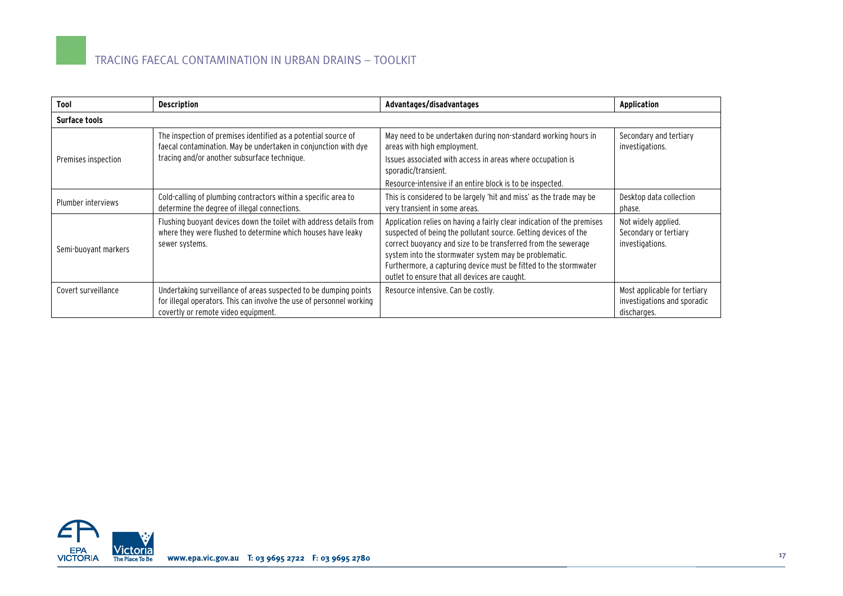| Tool                 | <b>Description</b>                                                                                                                                                                | Advantages/disadvantages                                                                                                                                                                                                                                                                                                                                                                 | <b>Application</b>                                                         |  |
|----------------------|-----------------------------------------------------------------------------------------------------------------------------------------------------------------------------------|------------------------------------------------------------------------------------------------------------------------------------------------------------------------------------------------------------------------------------------------------------------------------------------------------------------------------------------------------------------------------------------|----------------------------------------------------------------------------|--|
| Surface tools        |                                                                                                                                                                                   |                                                                                                                                                                                                                                                                                                                                                                                          |                                                                            |  |
|                      | The inspection of premises identified as a potential source of<br>faecal contamination. May be undertaken in conjunction with dye<br>tracing and/or another subsurface technique. | May need to be undertaken during non-standard working hours in<br>areas with high employment.                                                                                                                                                                                                                                                                                            | Secondary and tertiary<br>investigations.                                  |  |
| Premises inspection  |                                                                                                                                                                                   | Issues associated with access in areas where occupation is<br>sporadic/transient.                                                                                                                                                                                                                                                                                                        |                                                                            |  |
|                      |                                                                                                                                                                                   | Resource-intensive if an entire block is to be inspected.                                                                                                                                                                                                                                                                                                                                |                                                                            |  |
| Plumber interviews   | Cold-calling of plumbing contractors within a specific area to<br>determine the degree of illegal connections.                                                                    | This is considered to be largely 'hit and miss' as the trade may be<br>very transient in some areas.                                                                                                                                                                                                                                                                                     | Desktop data collection<br>phase.                                          |  |
| Semi-buoyant markers | Flushing buoyant devices down the toilet with address details from<br>where they were flushed to determine which houses have leaky<br>sewer systems.                              | Application relies on having a fairly clear indication of the premises<br>suspected of being the pollutant source. Getting devices of the<br>correct buoyancy and size to be transferred from the sewerage<br>system into the stormwater system may be problematic.<br>Furthermore, a capturing device must be fitted to the stormwater<br>outlet to ensure that all devices are caught. | Not widely applied.<br>Secondary or tertiary<br>investigations.            |  |
| Covert surveillance  | Undertaking surveillance of areas suspected to be dumping points<br>for illegal operators. This can involve the use of personnel working<br>covertly or remote video equipment.   | Resource intensive. Can be costly.                                                                                                                                                                                                                                                                                                                                                       | Most applicable for tertiary<br>investigations and sporadic<br>discharges. |  |

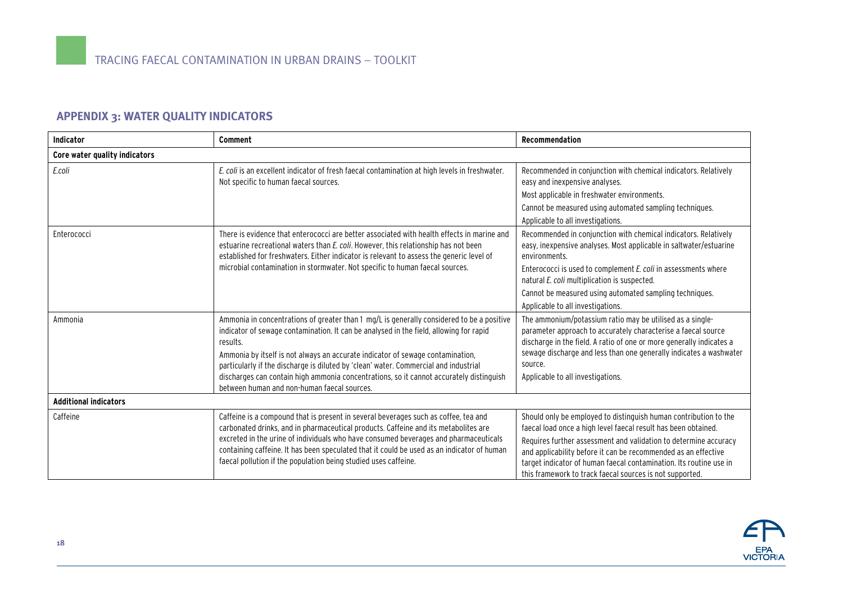# **APPENDIX 3: WATER QUALITY INDICATORS**

<span id="page-17-0"></span>

| <b>Indicator</b>              | Comment                                                                                                                                                                                                                                                                                                                                                                                                                                                                                                             | Recommendation                                                                                                                                                                                                                                                                                                                                                                                             |  |  |
|-------------------------------|---------------------------------------------------------------------------------------------------------------------------------------------------------------------------------------------------------------------------------------------------------------------------------------------------------------------------------------------------------------------------------------------------------------------------------------------------------------------------------------------------------------------|------------------------------------------------------------------------------------------------------------------------------------------------------------------------------------------------------------------------------------------------------------------------------------------------------------------------------------------------------------------------------------------------------------|--|--|
| Core water quality indicators |                                                                                                                                                                                                                                                                                                                                                                                                                                                                                                                     |                                                                                                                                                                                                                                                                                                                                                                                                            |  |  |
| E.coli                        | E. coli is an excellent indicator of fresh faecal contamination at high levels in freshwater.<br>Not specific to human faecal sources.                                                                                                                                                                                                                                                                                                                                                                              | Recommended in conjunction with chemical indicators. Relatively<br>easy and inexpensive analyses.<br>Most applicable in freshwater environments.<br>Cannot be measured using automated sampling techniques.<br>Applicable to all investigations.                                                                                                                                                           |  |  |
| Enterococci                   | There is evidence that enterococci are better associated with health effects in marine and<br>estuarine recreational waters than E. coli. However, this relationship has not been<br>established for freshwaters. Either indicator is relevant to assess the generic level of<br>microbial contamination in stormwater. Not specific to human faecal sources.                                                                                                                                                       | Recommended in conjunction with chemical indicators. Relatively<br>easy, inexpensive analyses. Most applicable in saltwater/estuarine<br>environments.<br>Enterococci is used to complement E. coli in assessments where<br>natural E. coli multiplication is suspected.<br>Cannot be measured using automated sampling techniques.<br>Applicable to all investigations.                                   |  |  |
| Ammonia                       | Ammonia in concentrations of greater than 1 mg/L is generally considered to be a positive<br>indicator of sewage contamination. It can be analysed in the field, allowing for rapid<br>results.<br>Ammonia by itself is not always an accurate indicator of sewage contamination,<br>particularly if the discharge is diluted by 'clean' water. Commercial and industrial<br>discharges can contain high ammonia concentrations, so it cannot accurately distinguish<br>between human and non-human faecal sources. | The ammonium/potassium ratio may be utilised as a single-<br>parameter approach to accurately characterise a faecal source<br>discharge in the field. A ratio of one or more generally indicates a<br>sewage discharge and less than one generally indicates a washwater<br>source.<br>Applicable to all investigations.                                                                                   |  |  |
| <b>Additional indicators</b>  |                                                                                                                                                                                                                                                                                                                                                                                                                                                                                                                     |                                                                                                                                                                                                                                                                                                                                                                                                            |  |  |
| Caffeine                      | Caffeine is a compound that is present in several beverages such as coffee, tea and<br>carbonated drinks, and in pharmaceutical products. Caffeine and its metabolites are<br>excreted in the urine of individuals who have consumed beverages and pharmaceuticals<br>containing caffeine. It has been speculated that it could be used as an indicator of human<br>faecal pollution if the population being studied uses caffeine.                                                                                 | Should only be employed to distinguish human contribution to the<br>faecal load once a high level faecal result has been obtained.<br>Requires further assessment and validation to determine accuracy<br>and applicability before it can be recommended as an effective<br>target indicator of human faecal contamination. Its routine use in<br>this framework to track faecal sources is not supported. |  |  |